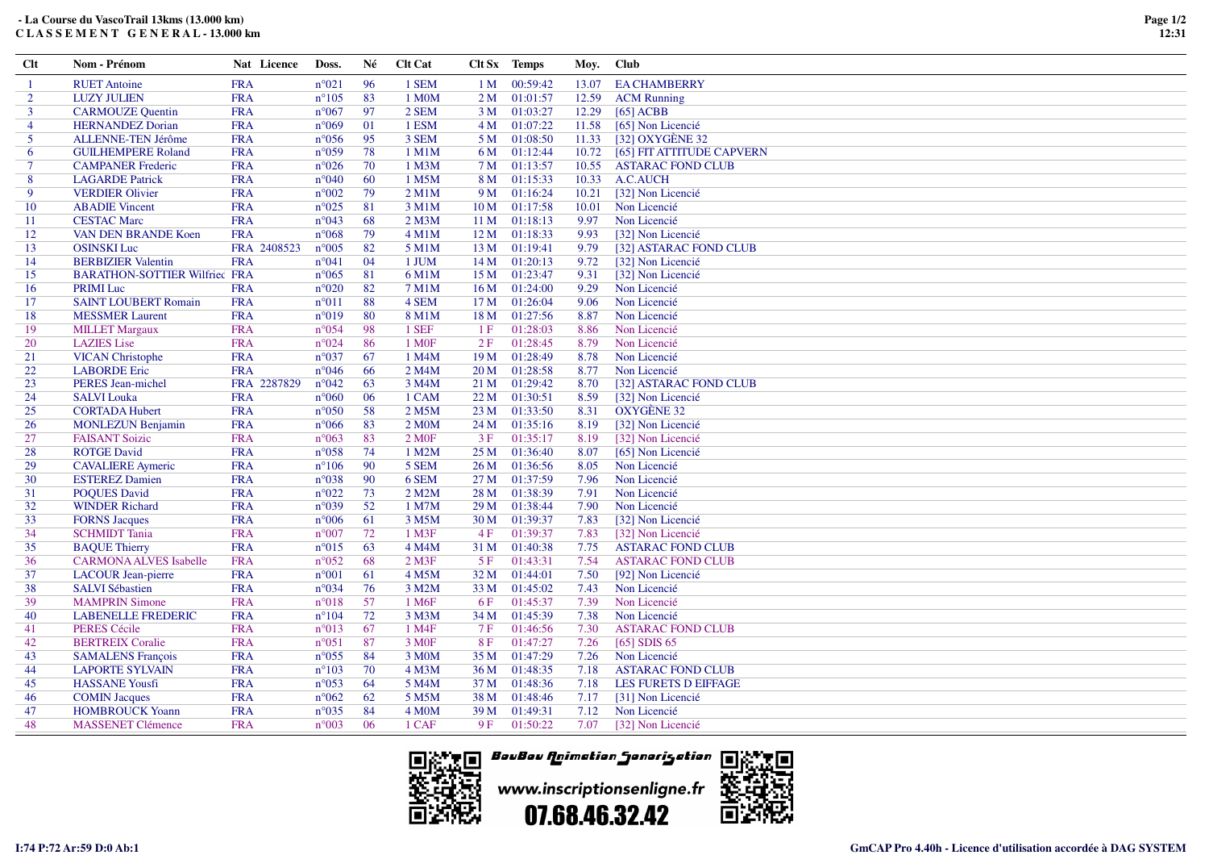## **- La Course du VascoTrail 13kms (13.000 km)C L A S S E M E N T G E N E R A L - 13.000 km**

| $Cl$ t         | Nom - Prénom                         | Nat Licence | Doss.          | Né | <b>Clt Cat</b>     |                 | Clt Sx Temps  | Moy.  | <b>Club</b>                     |
|----------------|--------------------------------------|-------------|----------------|----|--------------------|-----------------|---------------|-------|---------------------------------|
| $\mathbf{1}$   | <b>RUET</b> Antoine                  | <b>FRA</b>  | $n^{\circ}021$ | 96 | 1 SEM              | 1 <sub>M</sub>  | 00:59:42      | 13.07 | <b>EA CHAMBERRY</b>             |
| $\overline{2}$ | <b>LUZY JULIEN</b>                   | <b>FRA</b>  | $n^{\circ}105$ | 83 | 1 M <sub>0</sub> M | 2M              | 01:01:57      | 12.59 | <b>ACM Running</b>              |
| $\mathbf{3}$   | <b>CARMOUZE Quentin</b>              | <b>FRA</b>  | $n^{\circ}067$ | 97 | 2 SEM              | 3 M             | 01:03:27      | 12.29 | [65] ACBB                       |
| 4              | <b>HERNANDEZ Dorian</b>              | <b>FRA</b>  | $n^{\circ}069$ | 01 | 1 ESM              |                 | 4 M 01:07:22  | 11.58 | [65] Non Licencié               |
| 5              | ALLENNE-TEN Jérôme                   | <b>FRA</b>  | $n^{\circ}056$ | 95 | 3 SEM              |                 | 5 M 01:08:50  | 11.33 | [32] OXYGÈNE 32                 |
| 6              | <b>GUILHEMPERE Roland</b>            | <b>FRA</b>  | $n^{\circ}059$ | 78 | $1$ M $1$ M        |                 | 6 M 01:12:44  |       | 10.72 [65] FIT ATTITUDE CAPVERN |
| 7              | <b>CAMPANER Frederic</b>             | <b>FRA</b>  | $n^{\circ}026$ | 70 | 1 M <sub>3</sub> M | 7 M             | 01:13:57      | 10.55 | <b>ASTARAC FOND CLUB</b>        |
| 8              | <b>LAGARDE Patrick</b>               | <b>FRA</b>  | $n^{\circ}040$ | 60 | 1 M5M              | 8 M             | 01:15:33      | 10.33 | A.C.AUCH                        |
| 9              | <b>VERDIER Olivier</b>               | <b>FRA</b>  | $n^{\circ}002$ | 79 | $2$ M $1$ M        | 9 M             | 01:16:24      | 10.21 | [32] Non Licencié               |
| 10             | <b>ABADIE Vincent</b>                | <b>FRA</b>  | $n^{\circ}025$ | 81 | 3 M1M              | 10 <sub>M</sub> | 01:17:58      | 10.01 | Non Licencié                    |
| -11            | <b>CESTAC Marc</b>                   | <b>FRA</b>  | $n^{\circ}043$ | 68 | $2$ M $3$ M        | 11 <sub>M</sub> | 01:18:13      | 9.97  | Non Licencié                    |
| 12             | <b>VAN DEN BRANDE Koen</b>           | <b>FRA</b>  | $n^{\circ}068$ | 79 | $4$ M $1$ M        | 12M             | 01:18:33      | 9.93  | [32] Non Licencié               |
| 13             | <b>OSINSKI Luc</b>                   | FRA 2408523 | $n^{\circ}005$ | 82 | 5 M1M              | 13M             | 01:19:41      | 9.79  | [32] ASTARAC FOND CLUB          |
| 14             | <b>BERBIZIER Valentin</b>            | <b>FRA</b>  | $n^{\circ}041$ | 04 | 1 JUM              | 14M             | 01:20:13      | 9.72  | [32] Non Licencié               |
| 15             | <b>BARATHON-SOTTIER Wilfried FRA</b> |             | $n^{\circ}065$ | 81 | 6 M1M              | 15M             | 01:23:47      | 9.31  | [32] Non Licencié               |
| 16             | <b>PRIMI</b> Luc                     | <b>FRA</b>  | $n^{\circ}020$ | 82 | $7$ M $1$ M        | 16M             | 01:24:00      | 9.29  | Non Licencié                    |
| 17             | <b>SAINT LOUBERT Romain</b>          | <b>FRA</b>  | $n^{\circ}011$ | 88 | 4 SEM              | 17 M            | 01:26:04      | 9.06  | Non Licencié                    |
| 18             | <b>MESSMER Laurent</b>               | <b>FRA</b>  | $n^{\circ}019$ | 80 | 8 M1M              | 18 M            | 01:27:56      | 8.87  | Non Licencié                    |
| 19             | <b>MILLET Margaux</b>                | <b>FRA</b>  | $n^{\circ}054$ | 98 | 1 SEF              | 1F              | 01:28:03      | 8.86  | Non Licencié                    |
| 20             | <b>LAZIES</b> Lise                   | <b>FRA</b>  | $n^{\circ}024$ | 86 | 1 M <sub>OF</sub>  | 2F              | 01:28:45      | 8.79  | Non Licencié                    |
| 21             | <b>VICAN Christophe</b>              | <b>FRA</b>  | $n^{\circ}037$ | 67 | 1 M4M              | 19 <sub>M</sub> | 01:28:49      | 8.78  | Non Licencié                    |
| 22             | <b>LABORDE</b> Eric                  | <b>FRA</b>  | $n^{\circ}046$ | 66 | 2 M4M              | 20 <sub>M</sub> | 01:28:58      | 8.77  | Non Licencié                    |
| 23             | PERES Jean-michel                    | FRA 2287829 | $n^{\circ}042$ | 63 | 3 M4M              | 21 M            | 01:29:42      | 8.70  | [32] ASTARAC FOND CLUB          |
| 24             | <b>SALVI</b> Louka                   | <b>FRA</b>  | $n^{\circ}060$ | 06 | 1 CAM              | 22M             | 01:30:51      | 8.59  | [32] Non Licencié               |
| 25             | <b>CORTADA Hubert</b>                | <b>FRA</b>  | $n^{\circ}050$ | 58 | 2 M5M              | 23 M            | 01:33:50      | 8.31  | <b>OXYGÈNE 32</b>               |
| 26             | <b>MONLEZUN Benjamin</b>             | <b>FRA</b>  | $n^{\circ}066$ | 83 | 2 MOM              | 24 M            | 01:35:16      | 8.19  | [32] Non Licencié               |
| 27             | <b>FAISANT Soizic</b>                | <b>FRA</b>  | $n^{\circ}063$ | 83 | 2 M0F              | 3F              | 01:35:17      | 8.19  | [32] Non Licencié               |
| 28             | <b>ROTGE David</b>                   | <b>FRA</b>  | $n^{\circ}058$ | 74 | 1 M2M              | 25 M            | 01:36:40      | 8.07  | [65] Non Licencié               |
| 29             | <b>CAVALIERE</b> Aymeric             | <b>FRA</b>  | $n^{\circ}106$ | 90 | 5 SEM              | 26 M            | 01:36:56      | 8.05  | Non Licencié                    |
| 30             | <b>ESTEREZ Damien</b>                | <b>FRA</b>  | $n^{\circ}038$ | 90 | 6 SEM              | 27 M            | 01:37:59      | 7.96  | Non Licencié                    |
| 31             | <b>POQUES David</b>                  | <b>FRA</b>  | $n^{\circ}022$ | 73 | 2 M2M              | 28 M            | 01:38:39      | 7.91  | Non Licencié                    |
| 32             | <b>WINDER Richard</b>                | <b>FRA</b>  | $n^{\circ}039$ | 52 | 1 M7M              | 29 <sub>M</sub> | 01:38:44      | 7.90  | Non Licencié                    |
| 33             | <b>FORNS Jacques</b>                 | <b>FRA</b>  | $n^{\circ}006$ | 61 | 3 M5M              | 30 <sub>M</sub> | 01:39:37      | 7.83  | [32] Non Licencié               |
| 34             | <b>SCHMIDT</b> Tania                 | <b>FRA</b>  | $n^{\circ}007$ | 72 | $1$ M $3F$         | 4F              | 01:39:37      | 7.83  | [32] Non Licencié               |
| 35             | <b>BAQUE Thierry</b>                 | <b>FRA</b>  | $n^{\circ}015$ | 63 | 4 M4M              | 31 M            | 01:40:38      | 7.75  | <b>ASTARAC FOND CLUB</b>        |
| 36             | <b>CARMONA ALVES Isabelle</b>        | <b>FRA</b>  | $n^{\circ}052$ | 68 | $2$ M3F            | 5F              | 01:43:31      | 7.54  | <b>ASTARAC FOND CLUB</b>        |
| 37             | <b>LACOUR Jean-pierre</b>            | <b>FRA</b>  | $n^{\circ}001$ | 61 | 4 M5M              | 32 M            | 01:44:01      | 7.50  | [92] Non Licencié               |
| 38             | <b>SALVI Sébastien</b>               | <b>FRA</b>  | $n^{\circ}034$ | 76 | 3 M2M              | 33 M            | 01:45:02      | 7.43  | Non Licencié                    |
| 39             | <b>MAMPRIN Simone</b>                | <b>FRA</b>  | $n^{\circ}018$ | 57 | 1 M <sub>6F</sub>  | 6 F             | 01:45:37      | 7.39  | Non Licencié                    |
| 40             | <b>LABENELLE FREDERIC</b>            | <b>FRA</b>  | $n^{\circ}104$ | 72 | 3 M3M              | 34 M            | 01:45:39      | 7.38  | Non Licencié                    |
| 41             | <b>PERES Cécile</b>                  | <b>FRA</b>  | $n^{\circ}013$ | 67 | 1 M4F              | 7 F             | 01:46:56      | 7.30  | <b>ASTARAC FOND CLUB</b>        |
| 42             | <b>BERTREIX Coralie</b>              | <b>FRA</b>  | $n^{\circ}051$ | 87 | 3 M <sub>OF</sub>  | <b>8F</b>       | 01:47:27      | 7.26  | $[65]$ SDIS 65                  |
| 43             | <b>SAMALENS François</b>             | <b>FRA</b>  | $n^{\circ}055$ | 84 | 3 M <sub>0</sub> M |                 | 35 M 01:47:29 | 7.26  | Non Licencié                    |
| 44             | <b>LAPORTE SYLVAIN</b>               | <b>FRA</b>  | $n^{\circ}103$ | 70 | 4 M <sub>3</sub> M | 36 M            | 01:48:35      | 7.18  | <b>ASTARAC FOND CLUB</b>        |
| 45             | <b>HASSANE Yousfi</b>                | <b>FRA</b>  | $n^{\circ}053$ | 64 | 5 M4M              |                 | 37 M 01:48:36 | 7.18  | LES FURETS D EIFFAGE            |
| 46             | <b>COMIN Jacques</b>                 | <b>FRA</b>  | $n^{\circ}062$ | 62 | 5 M5M              | 38 M            | 01:48:46      | 7.17  | [31] Non Licencié               |
| 47             | <b>HOMBROUCK Yoann</b>               | <b>FRA</b>  | $n^{\circ}035$ | 84 | 4 M <sub>0</sub> M | 39 M            | 01:49:31      | 7.12  | Non Licencié                    |
| 48             | <b>MASSENET Clémence</b>             | <b>FRA</b>  | $n^{\circ}003$ | 06 | 1 CAF              | 9F              | 01:50:22      | 7.07  | [32] Non Licencié               |